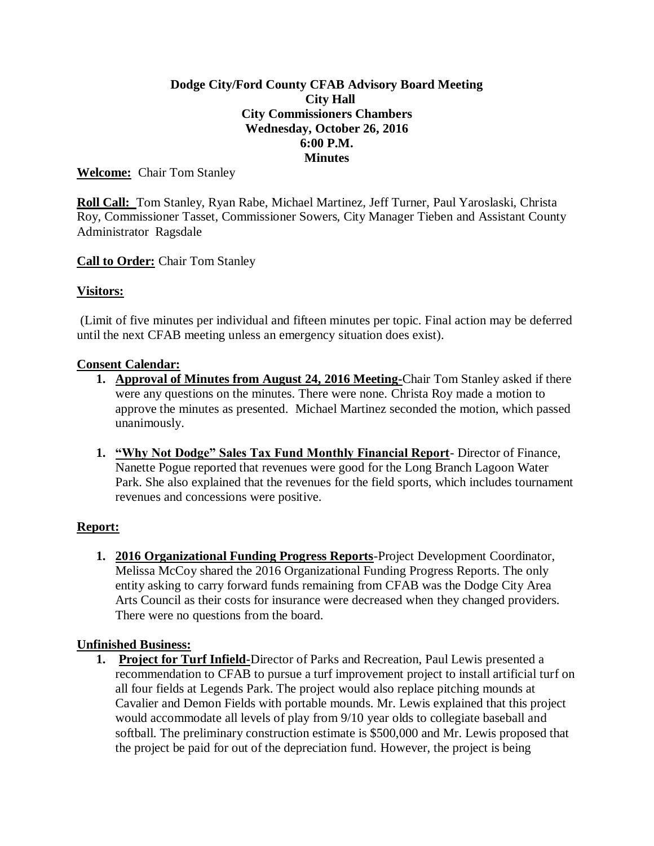## **Dodge City/Ford County CFAB Advisory Board Meeting City Hall City Commissioners Chambers Wednesday, October 26, 2016 6:00 P.M. Minutes**

## **Welcome:** Chair Tom Stanley

**Roll Call:** Tom Stanley, Ryan Rabe, Michael Martinez, Jeff Turner, Paul Yaroslaski, Christa Roy, Commissioner Tasset, Commissioner Sowers, City Manager Tieben and Assistant County Administrator Ragsdale

## **Call to Order:** Chair Tom Stanley

## **Visitors:**

(Limit of five minutes per individual and fifteen minutes per topic. Final action may be deferred until the next CFAB meeting unless an emergency situation does exist).

#### **Consent Calendar:**

- **1. Approval of Minutes from August 24, 2016 Meeting-**Chair Tom Stanley asked if there were any questions on the minutes. There were none. Christa Roy made a motion to approve the minutes as presented. Michael Martinez seconded the motion, which passed unanimously.
- **1. "Why Not Dodge" Sales Tax Fund Monthly Financial Report** Director of Finance, Nanette Pogue reported that revenues were good for the Long Branch Lagoon Water Park. She also explained that the revenues for the field sports, which includes tournament revenues and concessions were positive.

#### **Report:**

**1. 2016 Organizational Funding Progress Reports**-Project Development Coordinator, Melissa McCoy shared the 2016 Organizational Funding Progress Reports. The only entity asking to carry forward funds remaining from CFAB was the Dodge City Area Arts Council as their costs for insurance were decreased when they changed providers. There were no questions from the board.

#### **Unfinished Business:**

**1. Project for Turf Infield-**Director of Parks and Recreation, Paul Lewis presented a recommendation to CFAB to pursue a turf improvement project to install artificial turf on all four fields at Legends Park. The project would also replace pitching mounds at Cavalier and Demon Fields with portable mounds. Mr. Lewis explained that this project would accommodate all levels of play from 9/10 year olds to collegiate baseball and softball. The preliminary construction estimate is \$500,000 and Mr. Lewis proposed that the project be paid for out of the depreciation fund. However, the project is being